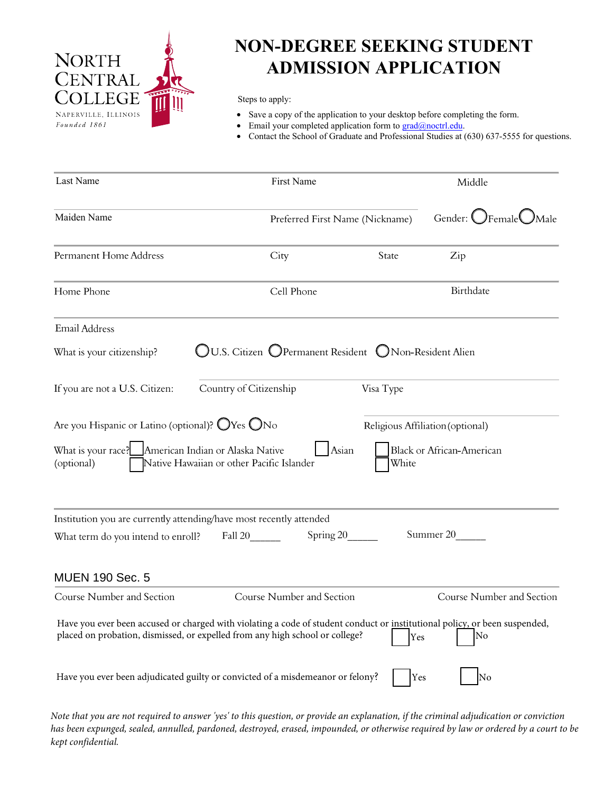

## **NON-DEGREE SEEKING STUDENT ADMISSION APPLICATION**

Steps to apply:

- v Save a copy of the application to your desktop before completing the form.
- Email your completed application form to  $grad@noct1.edu$ .
- Contact the School of Graduate and Professional Studies at (630) 637-5555 for questions.

| Last Name                                                                                                 | First Name                                                                                                                                                                                                 |           | Middle                           |
|-----------------------------------------------------------------------------------------------------------|------------------------------------------------------------------------------------------------------------------------------------------------------------------------------------------------------------|-----------|----------------------------------|
| Maiden Name                                                                                               | Preferred First Name (Nickname)                                                                                                                                                                            |           | Gender: <b>OF</b> emale Male     |
| Permanent Home Address                                                                                    | City                                                                                                                                                                                                       | State     | Zip                              |
| Home Phone                                                                                                | Cell Phone                                                                                                                                                                                                 |           | Birthdate                        |
| <b>Email Address</b>                                                                                      |                                                                                                                                                                                                            |           |                                  |
| What is your citizenship?                                                                                 | $\bigcirc$ U.S. Citizen $\bigcirc$ Permanent Resident $\bigcirc$ Non-Resident Alien                                                                                                                        |           |                                  |
| If you are not a U.S. Citizen:                                                                            | Country of Citizenship                                                                                                                                                                                     | Visa Type |                                  |
| Are you Hispanic or Latino (optional)? $\bigcirc$ Yes $\bigcirc$ No                                       |                                                                                                                                                                                                            |           | Religious Affiliation (optional) |
| What is your race? American Indian or Alaska Native<br>(optional)                                         | Asian<br>Native Hawaiian or other Pacific Islander                                                                                                                                                         | White     | Black or African-American        |
| Institution you are currently attending/have most recently attended<br>What term do you intend to enroll? | Spring 20____<br>Fall 20                                                                                                                                                                                   |           | Summer 20_____                   |
| <b>MUEN 190 Sec. 5</b>                                                                                    |                                                                                                                                                                                                            |           |                                  |
| Course Number and Section                                                                                 | Course Number and Section                                                                                                                                                                                  |           | Course Number and Section        |
|                                                                                                           | Have you ever been accused or charged with violating a code of student conduct or institutional policy, or been suspended,<br>placed on probation, dismissed, or expelled from any high school or college? | Yes       | No                               |
|                                                                                                           | Have you ever been adjudicated guilty or convicted of a misdemeanor or felony?                                                                                                                             | Yes       | No                               |

*Note that you are not required to answer 'yes' to this question, or provide an explanation, if the criminal adjudication or conviction has been expunged, sealed, annulled, pardoned, destroyed, erased, impounded, or otherwise required by law or ordered by a court to be kept confidential.*